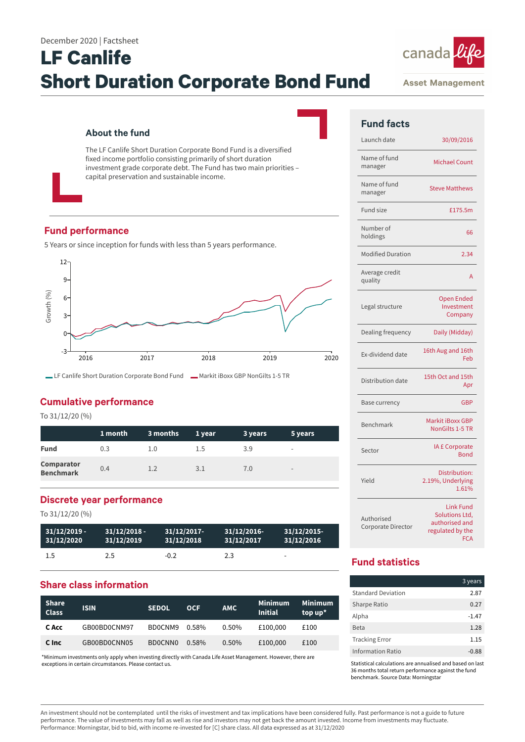# **LF Canlife Short Duration Corporate Bond Fund**

## **About the fund**

The LF Canlife Short Duration Corporate Bond Fund is a diversified fixed income portfolio consisting primarily of short duration investment grade corporate debt. The Fund has two main priorities – capital preservation and sustainable income.

# **Fund performance**

5 Years or since inception for funds with less than 5 years performance.



# **Cumulative performance**

To 31/12/20 (%)

|                                       | 1 month | 3 months | 1 year | 3 years | 5 years                  |
|---------------------------------------|---------|----------|--------|---------|--------------------------|
| <b>Fund</b>                           | 0.3     | 1.0      | 1.5    | 3.9     | $\overline{\phantom{0}}$ |
| <b>Comparator</b><br><b>Benchmark</b> | 0.4     | 1.2      | 3.1    | 7.0     | $\overline{\phantom{a}}$ |

## **Discrete year performance**

To 31/12/20 (%)

| $31/12/2019 -$ | $31/12/2018 -$ | $31/12/2017$ - | 31/12/2016 | $31/12/2015$ -           |
|----------------|----------------|----------------|------------|--------------------------|
| 31/12/2020     | 31/12/2019     | 31/12/2018     | 31/12/2017 | 31/12/2016               |
| 1.5            | 2.5            | $-0.2$         | 2.3        | $\overline{\phantom{a}}$ |

# **Share class information**

| <b>Share</b><br><b>Class</b> | <b>ISIN</b>  | <b>SEDOL</b> | <b>OCF</b> | <b>AMC</b> | <b>Minimum</b><br><b>Initial</b> | Minimum <sup>1</sup><br>top $up^*$ |
|------------------------------|--------------|--------------|------------|------------|----------------------------------|------------------------------------|
| C Acc                        | GB00BD0CNM97 | BD0CNM9      | 0.58%      | $0.50\%$   | £100,000                         | £100                               |
| C Inc                        | GB00BD0CNN05 | BD0CNN0      | 0.58%      | 0.50%      | £100,000                         | £100                               |

\*Minimum investments only apply when investing directly with Canada Life Asset Management. However, there are exceptions in certain circumstances. Please contact us.



**Asset Management** 

| <b>Fund facts</b>                |                                                                                        |
|----------------------------------|----------------------------------------------------------------------------------------|
| Launch date                      | 30/09/2016                                                                             |
| Name of fund<br>manager          | <b>Michael Count</b>                                                                   |
| Name of fund<br>manager          | <b>Steve Matthews</b>                                                                  |
| <b>Fund size</b>                 | £175.5m                                                                                |
| Number of<br>holdings            | 66                                                                                     |
| <b>Modified Duration</b>         | 2.34                                                                                   |
| Average credit<br>quality        | A                                                                                      |
| Legal structure                  | <b>Open Ended</b><br>Investment<br>Company                                             |
| Dealing frequency                | Daily (Midday)                                                                         |
| Ex-dividend date                 | 16th Aug and 16th<br>Feb                                                               |
| Distribution date                | 15th Oct and 15th<br>Apr                                                               |
| Base currency                    | <b>GBP</b>                                                                             |
| Benchmark                        | Markit iBoxx GBP<br><b>NonGilts 1-5 TR</b>                                             |
| Sector                           | <b>IA £ Corporate</b><br><b>Bond</b>                                                   |
| Yield                            | Distribution:<br>2.19%, Underlying<br>1.61%                                            |
| Authorised<br>Corporate Director | <b>Link Fund</b><br>Solutions Ltd,<br>authorised and<br>regulated by the<br><b>FCA</b> |

# **Fund statistics**

|                           | 3 years |
|---------------------------|---------|
| <b>Standard Deviation</b> | 2.87    |
| <b>Sharpe Ratio</b>       | 0.27    |
| Alpha                     | $-1.47$ |
| <b>Beta</b>               | 1.28    |
| <b>Tracking Error</b>     | 1.15    |
| <b>Information Ratio</b>  | -0.88   |

Statistical calculations are annualised and based on last 36 months total return performance against the fund benchmark. Source Data: Morningstar

An investment should not be contemplated until the risks of investment and tax implications have been considered fully. Past performance is not a guide to future performance. The value of investments may fall as well as rise and investors may not get back the amount invested. Income from investments may fluctuate. Performance: Morningstar, bid to bid, with income re-invested for [C] share class. All data expressed as at 31/12/2020